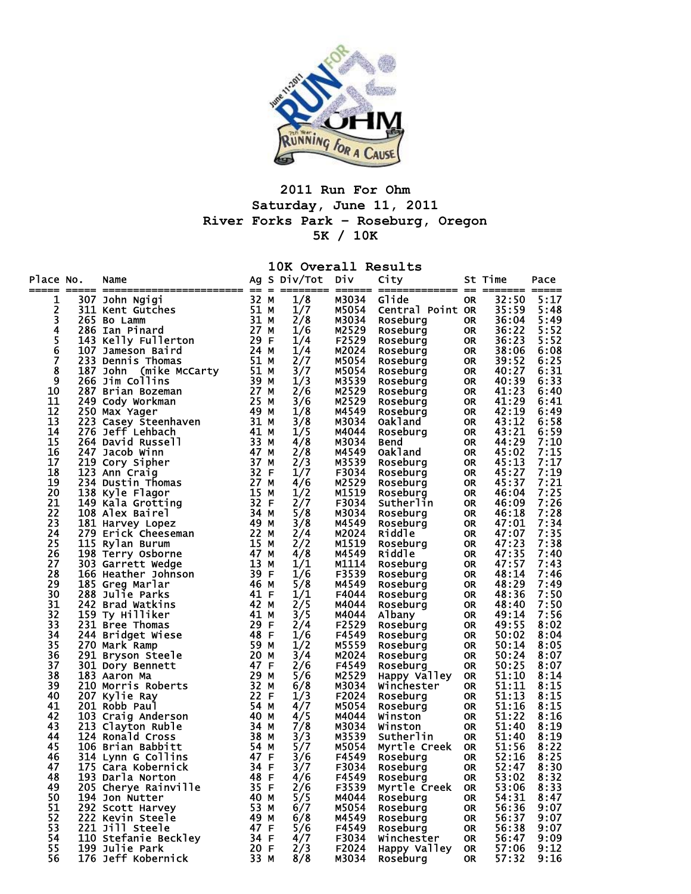

## **2011 Run For Ohm Saturday, June 11, 2011 River Forks Park – Roseburg, Oregon 5K / 10K**

|                    |     |                                                                                                                                                                                                                |                   |     | 10K Overall Results |                |                          |                 |                 |              |
|--------------------|-----|----------------------------------------------------------------------------------------------------------------------------------------------------------------------------------------------------------------|-------------------|-----|---------------------|----------------|--------------------------|-----------------|-----------------|--------------|
| Place No.          | === | Name<br>=================  ==                                                                                                                                                                                  |                   | $=$ | Ag S Div/Tot Div    | ====== ==      | City<br>===========  ==  |                 | St Time<br>==== | Pace         |
| 1                  |     | <b>Example 15</b><br><b>Example 15</b><br><b>Example 11</b><br><b>Example 14</b><br><b>Example 14</b><br><b>Example 14</b><br><b>Example 14</b><br><b>Example 14</b><br><b>Example 14</b><br><b>Example 14</b> | 32 M              |     | 1/8                 | M3034          | Glide                    | <b>OR</b>       | 32:50           | 5:17         |
| 2                  |     |                                                                                                                                                                                                                | 51 M              |     | 1/7                 | M5054          | Central Point OR         |                 | 35:59           | 5:48         |
| $\bar{\mathbf{3}}$ |     | 265 Bo Lamm                                                                                                                                                                                                    | 31 M              |     | 2/8                 | M3034          | Roseburg                 | OR.             | 36:04           | 5:49         |
| 4                  |     | 286 Ian Pinard                                                                                                                                                                                                 | 27 M              |     | 1/6                 | M2529          | Roseburg                 | <b>OR</b>       | 36:22           | 5:52         |
| 5                  |     |                                                                                                                                                                                                                |                   |     | 1/4                 | F2529          | Roseburg                 | 0R              | 36:23           | 5:52         |
| 6                  |     | 107 Jameson Baird<br>233 Dennis Thomas<br>187 John (mike McCarty 51 M<br>266 Jim Collins 39 M<br>287 Brian Bozeman 27 M<br>249 Cody Workman 25.                                                                |                   |     | 1/4                 | M2024          | Roseburg                 | 0R              | 38:06           | 6:08         |
| 7                  |     |                                                                                                                                                                                                                |                   |     | 2/7                 | M5054          | Roseburg                 | 0R              | 39:52           | 6:25         |
| 8                  |     |                                                                                                                                                                                                                |                   |     | 3/7                 | M5054          | Roseburg                 | 0R              | 40:27           | 6:31         |
| 9                  |     |                                                                                                                                                                                                                |                   |     | 1/3                 | M3539          | Roseburg                 | 0R              | 40:39           | 6:33         |
| 10                 |     |                                                                                                                                                                                                                |                   |     | 2/6                 | M2529          | Roseburg                 | 0R              | 41:23           | 6:40         |
| 11                 |     |                                                                                                                                                                                                                |                   |     | 3/6                 | M2529          | Roseburg                 | 0R              | 41:29           | 6:41         |
| 12                 |     |                                                                                                                                                                                                                | 49 M<br>$31$ M    |     | 1/8                 | M4549          | Roseburg                 | 0R              | 42:19           | 6:49         |
| 13<br>14           |     | 20/ Dividy Workman<br>250 Max Yager<br>223 Casey Steenhaven<br>223 Taff Lehbach                                                                                                                                | 41 M              |     | 3/8                 | M3034<br>M4044 | Oakland                  | 0R              | 43:12<br>43:21  | 6:58         |
| 15                 |     | 264 David Russell                                                                                                                                                                                              | 33 M              |     | 1/5<br>4/8          | M3034          | Roseburg<br><b>Bend</b>  | 0R              | 44:29           | 6:59<br>7:10 |
| 16                 |     | 247 Jacob Winn                                                                                                                                                                                                 | 47 M              |     | 2/8                 | M4549          | <b>Oakland</b>           | 0R<br><b>OR</b> | 45:02           | 7:15         |
| 17                 |     | 219 Cory Sipher                                                                                                                                                                                                | 37 M              |     | 2/3                 | M3539          | Roseburg                 | 0R              | 45:13           | 7:17         |
| 18                 |     | 123 Ann Craig                                                                                                                                                                                                  | 32 F              |     | 1/7                 | F3034          | Roseburg                 | 0R              | 45:27           | 7:19         |
| 19                 |     | 234 Dustin Thomas                                                                                                                                                                                              | 27 M              |     | 4/6                 | M2529          | Roseburg                 | 0R              | 45:37           | 7:21         |
| 20                 |     | 138 Kyle Flagor                                                                                                                                                                                                | 15 M              |     | 1/2                 | M1519          | Roseburg                 | 0R              | 46:04           | 7:25         |
| 21                 |     | 149 Kala Grotting                                                                                                                                                                                              | $\overline{32}$ F |     | 2/7                 | F3034          | Sutherlin                | 0R              | 46:09           | 7:26         |
| 22                 |     | 108 Alex Bairel                                                                                                                                                                                                |                   |     | 5/8                 | M3034          | Roseburg                 | 0R              | 46:18           | 7:28         |
| 23                 |     | 181 Harvey Lopez                                                                                                                                                                                               | 34 M<br>49 M      |     | 3/8                 | M4549          | Roseburg                 | <b>OR</b>       | 47:01           | 7:34         |
| 24                 |     | 279 Erick Cheeseman                                                                                                                                                                                            | 22 M              |     | 2/4                 | M2024          | Riddle                   | 0R              | 47:07           | 7:35         |
| 25                 |     | 115 Rylan Burum                                                                                                                                                                                                | 15 M              |     | 2/2                 | M1519          | Roseburg                 | 0R              | 47:23           | 7:38         |
| 26                 |     | 198 Terry Osborne                                                                                                                                                                                              | 47 M              |     | 4/8                 | M4549          | Riddle                   | 0R              | 47:35           | 7:40         |
| 27                 |     | 303 Garrett Wedge                                                                                                                                                                                              | 13 M              |     | 1/1                 | M1114          | Roseburg                 | 0R              | 47:57           | 7:43         |
| 28                 |     | 166 Heather Johnson                                                                                                                                                                                            | 39 F              |     | 1/6                 | F3539          | Roseburg                 | 0R              | 48:14           | 7:46         |
| 29                 |     | 185 Greg Marlar                                                                                                                                                                                                | 46 M              |     | 5/8                 | M4549          | Roseburg                 | 0R              | 48:29           | 7:49         |
| 30                 |     | 288 Julie Parks                                                                                                                                                                                                | 41 F              |     | 1/1                 | F4044          | Roseburg                 | 0R              | 48:36           | 7:50         |
| 31                 |     | 242 Brad Watkins                                                                                                                                                                                               | 42 M              |     | 2/5                 | M4044          | Roseburg                 | 0R              | 48:40           | 7:50         |
| 32                 |     | 159 Ty Hilliker                                                                                                                                                                                                | 41                | M   | 3/5                 | M4044          | Albany                   | 0R              | 49:14           | 7:56         |
| 33                 |     | 231 Bree Thomas                                                                                                                                                                                                | 29 F              |     | 2/4                 | F2529          | <b>Roseburg</b>          | 0R              | 49:55           | 8:02         |
| 34                 |     | 244 Bridget Wiese                                                                                                                                                                                              | 48 F              |     | 1/6                 | F4549          | Roseburg                 | <b>OR</b>       | 50:02           | 8:04         |
| 35                 |     | 270 Mark Ramp                                                                                                                                                                                                  | 59 M              |     | 1/2                 | M5559          | <b>Roseburg</b>          | 0R              | 50:14           | 8:05         |
| 36<br>37           |     | 291 Bryson Steele                                                                                                                                                                                              | 20 M<br>47 F      |     | 3/4                 | M2024          | Roseburg                 | 0R              | 50:24<br>50:25  | 8:07<br>8:07 |
| 38                 |     | 301 Dory Bennett<br>183 Aaron Ma                                                                                                                                                                               | 29 M              |     | 2/6<br>5/6          | F4549<br>M2529 | Roseburg<br>Happy Valley | <b>OR</b><br>0R | 51:10           | 8:14         |
| 39                 |     | 210 Morris Roberts                                                                                                                                                                                             | 32 M              |     | 6/8                 | M3034          | Winchester               | 0R              | 51:11           | 8:15         |
| 40                 |     | 207 Kylie Ray                                                                                                                                                                                                  | 22 F              |     | 1/3                 | F2024          | Roseburg                 | 0R              | 51:13           | 8:15         |
| 41                 |     | 201 Robb Paul                                                                                                                                                                                                  | 54 M              |     | 4/7                 | M5054          | Roseburg                 | 0R              | 51:16           | 8:15         |
| 42                 |     | 103 Craig Anderson                                                                                                                                                                                             | 40 M              |     | 4/5                 | M4044          | Winston                  | 0R              | 51:22           | 8:16         |
| 43                 |     | 213 Clayton Ruble                                                                                                                                                                                              | 34 M              |     | 7/8                 | M3034          | Winston                  | 0R              | 51:40           | 8:19         |
| 44                 |     | 124 Ronald Cross                                                                                                                                                                                               | 38 M              |     | 3/3                 | M3539          | Sutherlin                | <b>OR</b>       | 51:40           | 8:19         |
| 45                 |     | 106 Brian Babbitt                                                                                                                                                                                              | 54 M              |     | 5/7                 | M5054          | Myrtle Creek             | <b>OR</b>       | 51:56           | 8:22         |
| 46                 |     | 314 Lynn G Collins                                                                                                                                                                                             | 47 F              |     | 3/6                 | F4549          | Roseburg                 | <b>OR</b>       | 52:16           | 8:25         |
| 47                 |     | 175 Cara Kobernick<br>34 F                                                                                                                                                                                     |                   |     | 3/7                 | F3034          | Roseburg                 | <b>OR</b>       | 52:47           | 8:30         |
| 48                 |     | 193 Darla Norton                                                                                                                                                                                               | 48 F              |     | 4/6                 | F4549          | Roseburg                 | <b>OR</b>       | 53:02           | 8:32         |
| 49                 |     | 205 Cherye Rainville                                                                                                                                                                                           | 35 F              |     | 2/6                 | F3539          | Myrtle Creek             | OR.             | 53:06           | 8:33         |
| 50                 |     | 194 Jon Nutter                                                                                                                                                                                                 | 40 M              |     | 5/5                 | M4044          | Roseburg                 | <b>OR</b>       | 54:31           | 8:47         |
| 51                 |     | 292 Scott Harvey                                                                                                                                                                                               | 53 M              |     | 6/7                 | M5054          | Roseburg                 | <b>OR</b>       | 56:36           | 9:07         |
| 52                 |     | 222 Kevin Steele                                                                                                                                                                                               | 49 M              |     | 6/8                 | M4549          | Roseburg                 | <b>OR</b>       | 56:37           | 9:07         |
| 53                 |     | 221 Jill Steele                                                                                                                                                                                                | 47 F              |     | 5/6                 | F4549          | Roseburg                 | <b>OR</b>       | 56:38           | 9:07         |
| 54                 |     | 110 Stefanie Beckley                                                                                                                                                                                           | 34 F              |     | 4/7                 | F3034          | Winchester               | <b>OR</b>       | 56:47           | 9:09         |
| 55                 |     | 199 Julie Park                                                                                                                                                                                                 | 20 F              |     | 2/3                 | F2024          | Happy Valley             | <b>OR</b>       | 57:06           | 9:12         |
| 56                 |     | 176 Jeff Kobernick                                                                                                                                                                                             | 33 M              |     | 8/8                 | M3034          | Roseburg                 | <b>OR</b>       | 57:32           | 9:16         |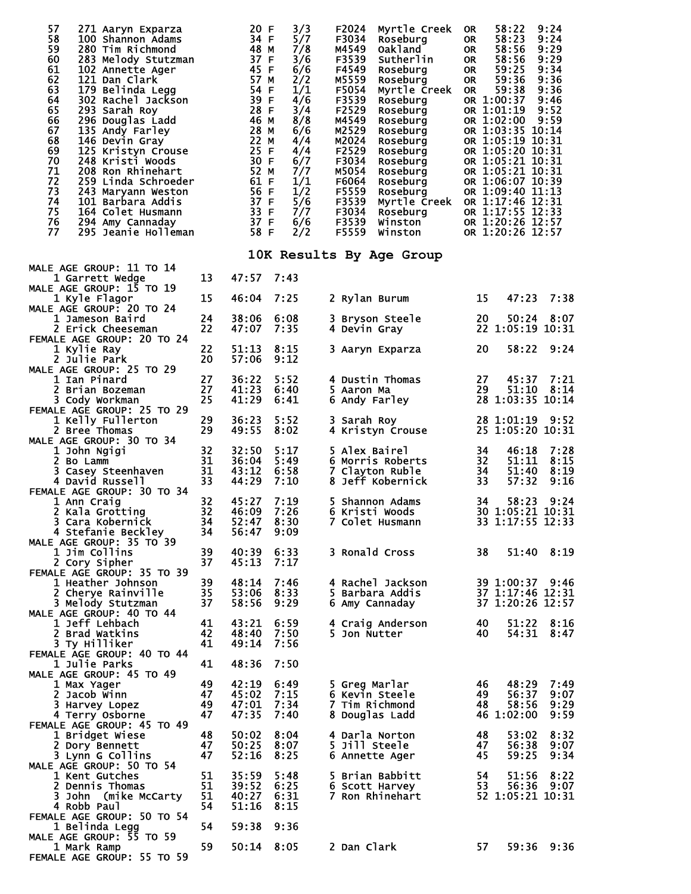| 57<br>271 Aaryn Exparza<br>58<br>100 Shannon Adams<br>59<br>280 Tim Richmond<br>60<br>283 Melody Stutzman<br>61<br>102 Annette Ager<br>62<br>121 Dan Clark<br>63<br>179 Belinda Legg<br>64<br>302 Rachel Jackson<br>65<br>293 Sarah Roy<br>66<br>296 Douglas Ladd<br>67<br>135 Andy Farley<br>68<br>146 Devin Gray<br>69<br>125 Kristyn Crouse<br>70<br>248 Kristi Woods<br>71<br>208 Ron Rhinehart<br>72<br>259 Linda Schroeder<br>73<br>243 Maryann Weston<br>74<br>101 Barbara Addis<br>75<br>164 Colet Husmann<br>76<br>294 Amy Cannaday<br>77<br>295 Jeanie Holleman |          | 20 F<br>34 F<br>48 M<br>37 F<br>45 F<br>57 M<br>54 F<br>39 F<br>28 F<br>46 M<br>28 M<br>22 M<br>25 F<br>30 F<br>52 M<br>61 F<br>56 F<br>37 F<br>33 F<br>37 F<br>58 F | 3/3<br>5/7<br>7/8<br>3/6<br>6/6<br>2/2<br>1/1<br>4/6<br>3/4<br>8/8<br>6/6<br>4/4<br>4/4<br>6/7<br>7/7<br>1/1<br>1/2<br>5/6<br>7/7<br>6/6<br>2/2 | F2024<br>Myrtle Creek<br>F3034<br>Roseburg<br>M4549<br>Oakland<br>F3539<br>Sutherlin<br>F4549<br>Roseburg<br>M5559<br>Roseburg<br>F5054<br>Myrtle Creek OR<br>F3539<br>Roseburg<br>F2529<br>Roseburg<br>M4549<br>Roseburg<br>M2529<br>Roseburg<br>M2024<br>Roseburg<br>F2529<br>Roseburg<br>F3034<br>Roseburg<br>M5054<br>Roseburg<br>F6064<br>Roseburg<br>F5559<br>Roseburg<br>F3539<br>F3034<br>Roseburg<br>F3539<br>Winston<br>F5559<br>Winston | 9:24<br>58:22<br>0R<br>58:23<br>9:24<br>OR.<br>9:29<br>58:56<br>OR.<br>58:56<br>9:29<br>OR.<br>9:34<br>59:25<br>OR.<br>59:36<br>9:36<br>OR.<br>59:38<br>9:36<br>OR 1:00:37<br>9:46<br>OR 1:01:19<br>9:52<br>OR 1:02:00<br>9:59<br>OR 1:03:35 10:14<br>OR 1:05:19 10:31<br>OR 1:05:20 10:31<br>OR 1:05:21 10:31<br>OR 1:05:21 10:31<br>OR 1:06:07 10:39<br>OR 1:09:40 11:13<br>Myrtle Creek OR 1:17:46 12:31<br>OR 1:17:55 12:33<br>OR 1:20:26 12:57<br>OR 1:20:26 12:57 |
|---------------------------------------------------------------------------------------------------------------------------------------------------------------------------------------------------------------------------------------------------------------------------------------------------------------------------------------------------------------------------------------------------------------------------------------------------------------------------------------------------------------------------------------------------------------------------|----------|----------------------------------------------------------------------------------------------------------------------------------------------------------------------|-------------------------------------------------------------------------------------------------------------------------------------------------|----------------------------------------------------------------------------------------------------------------------------------------------------------------------------------------------------------------------------------------------------------------------------------------------------------------------------------------------------------------------------------------------------------------------------------------------------|-------------------------------------------------------------------------------------------------------------------------------------------------------------------------------------------------------------------------------------------------------------------------------------------------------------------------------------------------------------------------------------------------------------------------------------------------------------------------|
|                                                                                                                                                                                                                                                                                                                                                                                                                                                                                                                                                                           |          |                                                                                                                                                                      |                                                                                                                                                 | 10K Results By Age Group                                                                                                                                                                                                                                                                                                                                                                                                                           |                                                                                                                                                                                                                                                                                                                                                                                                                                                                         |
| MALE AGE GROUP: 11 TO 14<br>1 Garrett Wedge                                                                                                                                                                                                                                                                                                                                                                                                                                                                                                                               | 13       | 47:57                                                                                                                                                                | 7:43                                                                                                                                            |                                                                                                                                                                                                                                                                                                                                                                                                                                                    |                                                                                                                                                                                                                                                                                                                                                                                                                                                                         |
| MALE AGE GROUP: 15 TO 19<br>1 Kyle Flagor                                                                                                                                                                                                                                                                                                                                                                                                                                                                                                                                 | 15       | 46:04                                                                                                                                                                | 7:25                                                                                                                                            | 2 Rylan Burum                                                                                                                                                                                                                                                                                                                                                                                                                                      | 47:23<br>7:38<br>15                                                                                                                                                                                                                                                                                                                                                                                                                                                     |
| MALE AGE GROUP: 20 TO 24                                                                                                                                                                                                                                                                                                                                                                                                                                                                                                                                                  |          |                                                                                                                                                                      |                                                                                                                                                 |                                                                                                                                                                                                                                                                                                                                                                                                                                                    |                                                                                                                                                                                                                                                                                                                                                                                                                                                                         |
| 1 Jameson Baird<br>2 Erick Cheeseman                                                                                                                                                                                                                                                                                                                                                                                                                                                                                                                                      | 24<br>22 | 38:06<br>47:07                                                                                                                                                       | 6:08<br>7:35                                                                                                                                    | 3 Bryson Steele<br>4 Devin Gray                                                                                                                                                                                                                                                                                                                                                                                                                    | 20<br>8:07<br>50:24<br>22 1:05:19 10:31                                                                                                                                                                                                                                                                                                                                                                                                                                 |
| FEMALE AGE GROUP: 20 TO 24<br>1 Kylie Ray                                                                                                                                                                                                                                                                                                                                                                                                                                                                                                                                 | 22       | 51:13                                                                                                                                                                | 8:15                                                                                                                                            | 3 Aaryn Exparza                                                                                                                                                                                                                                                                                                                                                                                                                                    | 20<br>58:22<br>9:24                                                                                                                                                                                                                                                                                                                                                                                                                                                     |
| 2 Julie Park                                                                                                                                                                                                                                                                                                                                                                                                                                                                                                                                                              | 20       | 57:06                                                                                                                                                                | 9:12                                                                                                                                            |                                                                                                                                                                                                                                                                                                                                                                                                                                                    |                                                                                                                                                                                                                                                                                                                                                                                                                                                                         |
| MALE AGE GROUP: 25 TO 29<br>1 Ian Pinard                                                                                                                                                                                                                                                                                                                                                                                                                                                                                                                                  | 27       | 36:22                                                                                                                                                                | 5:52                                                                                                                                            | 4 Dustin Thomas                                                                                                                                                                                                                                                                                                                                                                                                                                    | 27<br>45:37<br>7:21                                                                                                                                                                                                                                                                                                                                                                                                                                                     |
| 2 Brian Bozeman<br>3 Cody Workman                                                                                                                                                                                                                                                                                                                                                                                                                                                                                                                                         | 27<br>25 | 41:23<br>41:29                                                                                                                                                       | 6:40<br>6:41                                                                                                                                    | 5 Aaron Ma<br>6 Andy Farley                                                                                                                                                                                                                                                                                                                                                                                                                        | 29<br>51:10<br>8:14<br>28 1:03:35 10:14                                                                                                                                                                                                                                                                                                                                                                                                                                 |
| FEMALE AGE GROUP: 25 TO 29                                                                                                                                                                                                                                                                                                                                                                                                                                                                                                                                                |          |                                                                                                                                                                      |                                                                                                                                                 |                                                                                                                                                                                                                                                                                                                                                                                                                                                    |                                                                                                                                                                                                                                                                                                                                                                                                                                                                         |
| 1 Kelly Fullerton<br>2 Bree Thomas                                                                                                                                                                                                                                                                                                                                                                                                                                                                                                                                        | 29<br>29 | 36:23<br>49:55                                                                                                                                                       | 5:52<br>8:02                                                                                                                                    | 3 Sarah Roy<br>4 Kristyn Crouse                                                                                                                                                                                                                                                                                                                                                                                                                    | 28 1:01:19<br>9:52<br>25 1:05:20 10:31                                                                                                                                                                                                                                                                                                                                                                                                                                  |
| MALE AGE GROUP: 30 TO 34<br>1 John Ngigi                                                                                                                                                                                                                                                                                                                                                                                                                                                                                                                                  | 32       | 32:50                                                                                                                                                                | 5:17                                                                                                                                            | 5 Alex Bairel                                                                                                                                                                                                                                                                                                                                                                                                                                      | 34<br>46:18<br>7:28                                                                                                                                                                                                                                                                                                                                                                                                                                                     |
| 2 Bo Lamm                                                                                                                                                                                                                                                                                                                                                                                                                                                                                                                                                                 | 31       | 36:04                                                                                                                                                                | 5:49                                                                                                                                            | 6 Morris Roberts                                                                                                                                                                                                                                                                                                                                                                                                                                   | 32<br>51:11<br>8:15                                                                                                                                                                                                                                                                                                                                                                                                                                                     |
| 3 Casey Steenhaven<br>4 David Russell                                                                                                                                                                                                                                                                                                                                                                                                                                                                                                                                     | 31<br>33 | 43:12<br>44:29                                                                                                                                                       | 6:58<br>7:10                                                                                                                                    | 7 Clayton Ruble<br>8 Jeff Kobernick                                                                                                                                                                                                                                                                                                                                                                                                                | 51:40<br>34<br>8:19<br>33<br>57:32<br>9:16                                                                                                                                                                                                                                                                                                                                                                                                                              |
| FEMALE AGE GROUP: 30 TO 34<br>1 Ann Craig                                                                                                                                                                                                                                                                                                                                                                                                                                                                                                                                 | 32       | 45:27                                                                                                                                                                | 7:19                                                                                                                                            | 5 Shannon Adams                                                                                                                                                                                                                                                                                                                                                                                                                                    | 34<br>58:23<br>9:24                                                                                                                                                                                                                                                                                                                                                                                                                                                     |
| 2 Kala Grotting                                                                                                                                                                                                                                                                                                                                                                                                                                                                                                                                                           | 32       | 46:09                                                                                                                                                                | 7:26                                                                                                                                            | 6 Kristi Woods                                                                                                                                                                                                                                                                                                                                                                                                                                     | 30 1:05:21 10:31                                                                                                                                                                                                                                                                                                                                                                                                                                                        |
| 3 Cara Kobernick<br>4 Stefanie Beckley                                                                                                                                                                                                                                                                                                                                                                                                                                                                                                                                    | 34<br>34 | 52:47<br>56:47                                                                                                                                                       | 8:30<br>9:09                                                                                                                                    | 7 Colet Husmann                                                                                                                                                                                                                                                                                                                                                                                                                                    | 33 1:17:55 12:33                                                                                                                                                                                                                                                                                                                                                                                                                                                        |
| MALE AGE GROUP: 35 TO 39                                                                                                                                                                                                                                                                                                                                                                                                                                                                                                                                                  | 39       |                                                                                                                                                                      | 6:33                                                                                                                                            |                                                                                                                                                                                                                                                                                                                                                                                                                                                    | 38                                                                                                                                                                                                                                                                                                                                                                                                                                                                      |
| 1 Jim Collins<br>2 Cory Sipher                                                                                                                                                                                                                                                                                                                                                                                                                                                                                                                                            | 37       | 40:39<br>45:13                                                                                                                                                       | 7:17                                                                                                                                            | 3 Ronald Cross                                                                                                                                                                                                                                                                                                                                                                                                                                     | 51:40 8:19                                                                                                                                                                                                                                                                                                                                                                                                                                                              |
| FEMALE AGE GROUP: 35 TO 39<br>1 Heather Johnson                                                                                                                                                                                                                                                                                                                                                                                                                                                                                                                           | 39       | 48:14                                                                                                                                                                | 7:46                                                                                                                                            | 4 Rachel Jackson                                                                                                                                                                                                                                                                                                                                                                                                                                   | 39 1:00:37 9:46                                                                                                                                                                                                                                                                                                                                                                                                                                                         |
| 2 Cherye Rainville                                                                                                                                                                                                                                                                                                                                                                                                                                                                                                                                                        | 35       | 53:06                                                                                                                                                                | 8:33                                                                                                                                            | 5 Barbara Addis                                                                                                                                                                                                                                                                                                                                                                                                                                    | 37 1:17:46 12:31                                                                                                                                                                                                                                                                                                                                                                                                                                                        |
| 3 Melody Stutzman<br>MALE AGE GROUP: 40 TO 44                                                                                                                                                                                                                                                                                                                                                                                                                                                                                                                             | 37       | 58:56                                                                                                                                                                | 9:29                                                                                                                                            | 6 Amy Cannaday                                                                                                                                                                                                                                                                                                                                                                                                                                     | 37 1:20:26 12:57                                                                                                                                                                                                                                                                                                                                                                                                                                                        |
| 1 Jeff Lehbach<br>2 Brad Watkins                                                                                                                                                                                                                                                                                                                                                                                                                                                                                                                                          | 41<br>42 | 43:21<br>48:40                                                                                                                                                       | 6:59<br>7:50                                                                                                                                    | 4 Craig Anderson<br>5 Jon Nutter                                                                                                                                                                                                                                                                                                                                                                                                                   | 40<br>51:22<br>8:16<br>40<br>54:31<br>8:47                                                                                                                                                                                                                                                                                                                                                                                                                              |
| 3 Ty Hilliker                                                                                                                                                                                                                                                                                                                                                                                                                                                                                                                                                             | 41       | 49:14                                                                                                                                                                | 7:56                                                                                                                                            |                                                                                                                                                                                                                                                                                                                                                                                                                                                    |                                                                                                                                                                                                                                                                                                                                                                                                                                                                         |
| FEMALE AGE GROUP: 40 TO 44<br>1 Julie Parks                                                                                                                                                                                                                                                                                                                                                                                                                                                                                                                               | 41       | 48:36                                                                                                                                                                | 7:50                                                                                                                                            |                                                                                                                                                                                                                                                                                                                                                                                                                                                    |                                                                                                                                                                                                                                                                                                                                                                                                                                                                         |
| MALE AGE GROUP: 45 TO 49                                                                                                                                                                                                                                                                                                                                                                                                                                                                                                                                                  |          |                                                                                                                                                                      |                                                                                                                                                 |                                                                                                                                                                                                                                                                                                                                                                                                                                                    |                                                                                                                                                                                                                                                                                                                                                                                                                                                                         |
| 1 Max Yager<br>2 Jacob Winn                                                                                                                                                                                                                                                                                                                                                                                                                                                                                                                                               | 49<br>47 | 42:19<br>45:02                                                                                                                                                       | 6:49<br>7:15                                                                                                                                    | 5 Greg Marlar<br>6 Kevin Steele                                                                                                                                                                                                                                                                                                                                                                                                                    | 46<br>48:29<br>7:49<br>49<br>56:37<br>9:07                                                                                                                                                                                                                                                                                                                                                                                                                              |
| 3 Harvey Lopez<br>4 Terry Osborne                                                                                                                                                                                                                                                                                                                                                                                                                                                                                                                                         | 49<br>47 | 47:01<br>47:35                                                                                                                                                       | 7:34<br>7:40                                                                                                                                    | 7 Tim Richmond<br>8 Douglas Ladd                                                                                                                                                                                                                                                                                                                                                                                                                   | 58:56<br>9:29<br>48<br>46 1:02:00<br>9:59                                                                                                                                                                                                                                                                                                                                                                                                                               |
| FEMALE AGE GROUP: 45 TO 49                                                                                                                                                                                                                                                                                                                                                                                                                                                                                                                                                |          |                                                                                                                                                                      |                                                                                                                                                 |                                                                                                                                                                                                                                                                                                                                                                                                                                                    |                                                                                                                                                                                                                                                                                                                                                                                                                                                                         |
| 1 Bridget Wiese<br>2 Dory Bennett                                                                                                                                                                                                                                                                                                                                                                                                                                                                                                                                         | 48<br>47 | 50:02<br>50:25                                                                                                                                                       | 8:04<br>8:07                                                                                                                                    | 4 Darla Norton<br>5 Jill Steele                                                                                                                                                                                                                                                                                                                                                                                                                    | 8:32<br>48<br>53:02<br>47<br>56:38<br>9:07                                                                                                                                                                                                                                                                                                                                                                                                                              |
| 3 Lynn G Collins                                                                                                                                                                                                                                                                                                                                                                                                                                                                                                                                                          | 47       | 52:16                                                                                                                                                                | 8:25                                                                                                                                            | 6 Annette Ager                                                                                                                                                                                                                                                                                                                                                                                                                                     | 45<br>59:25<br>9:34                                                                                                                                                                                                                                                                                                                                                                                                                                                     |
| MALE AGE GROUP: 50 TO 54<br>1 Kent Gutches                                                                                                                                                                                                                                                                                                                                                                                                                                                                                                                                | 51       | 35:59                                                                                                                                                                | 5:48                                                                                                                                            | 5 Brian Babbitt                                                                                                                                                                                                                                                                                                                                                                                                                                    | 8:22<br>54<br>51:56                                                                                                                                                                                                                                                                                                                                                                                                                                                     |
| 2 Dennis Thomas<br>3 John (mike McCarty                                                                                                                                                                                                                                                                                                                                                                                                                                                                                                                                   | 51<br>51 | 39:52<br>40:27                                                                                                                                                       | 6:25<br>6:31                                                                                                                                    | 6 Scott Harvey<br>7 Ron Rhinehart                                                                                                                                                                                                                                                                                                                                                                                                                  | 53<br>56:36<br>9:07<br>52 1:05:21 10:31                                                                                                                                                                                                                                                                                                                                                                                                                                 |
| 4 Robb Paul                                                                                                                                                                                                                                                                                                                                                                                                                                                                                                                                                               | 54       | 51:16                                                                                                                                                                | 8:15                                                                                                                                            |                                                                                                                                                                                                                                                                                                                                                                                                                                                    |                                                                                                                                                                                                                                                                                                                                                                                                                                                                         |
| FEMALE AGE GROUP: 50 TO 54<br>1 Belinda Legg                                                                                                                                                                                                                                                                                                                                                                                                                                                                                                                              | 54       | 59:38                                                                                                                                                                | 9:36                                                                                                                                            |                                                                                                                                                                                                                                                                                                                                                                                                                                                    |                                                                                                                                                                                                                                                                                                                                                                                                                                                                         |
| MALE AGE GROUP: 55 TO 59<br>1 Mark Ramp                                                                                                                                                                                                                                                                                                                                                                                                                                                                                                                                   | 59       | 50:14 8:05                                                                                                                                                           |                                                                                                                                                 | 2 Dan Clark                                                                                                                                                                                                                                                                                                                                                                                                                                        | 57<br>9:36<br>59:36                                                                                                                                                                                                                                                                                                                                                                                                                                                     |
| FEMALE AGE GROUP: 55 TO 59                                                                                                                                                                                                                                                                                                                                                                                                                                                                                                                                                |          |                                                                                                                                                                      |                                                                                                                                                 |                                                                                                                                                                                                                                                                                                                                                                                                                                                    |                                                                                                                                                                                                                                                                                                                                                                                                                                                                         |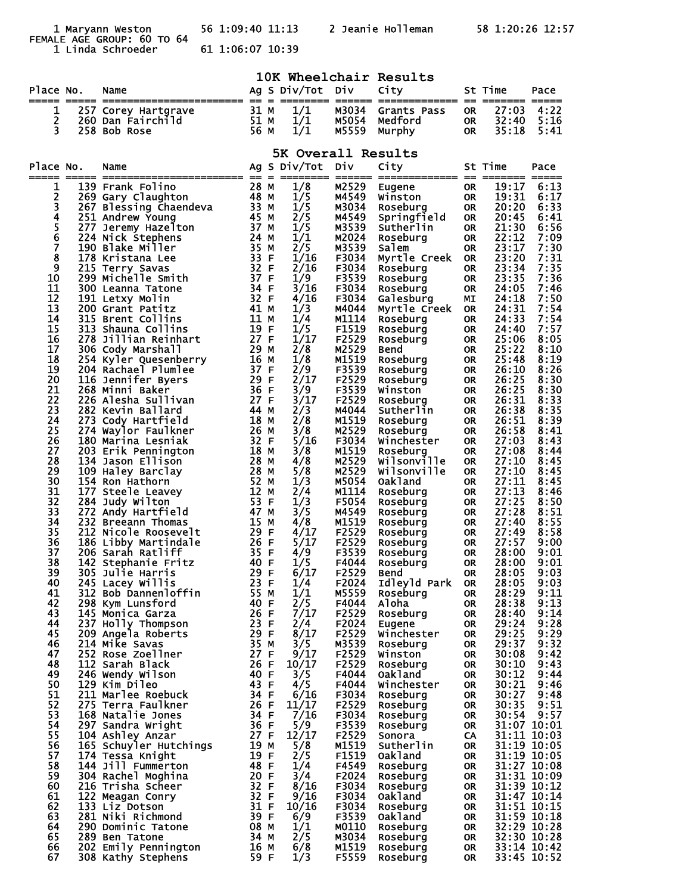FEMALE AGE GROUP: 60 TO 64

56 1:09:40 11:13 2 Jeanie Holleman 58 1:20:26 12:57

1 Linda Schroeder 61 1:06:07 10:39

|           | 10K Wheelchair Results |                                                                                 |                   |  |                    |                |                               |                        |                            |                            |  |
|-----------|------------------------|---------------------------------------------------------------------------------|-------------------|--|--------------------|----------------|-------------------------------|------------------------|----------------------------|----------------------------|--|
| Place No. |                        | Name                                                                            |                   |  | Ag S Div/Tot Div   |                | City                          |                        | St Time                    | Pace                       |  |
| 1         |                        |                                                                                 |                   |  | 1/1                | M3034          | Grants Pass                   | <b>OR</b>              | --------- -----<br>27:03   | 4:22                       |  |
| 2         |                        |                                                                                 |                   |  | 1/1                | M5054          | Medford                       | 0R                     | 32:40                      | 5:16                       |  |
| 3         |                        |                                                                                 |                   |  | 1/1                | M5559          | Murphy                        | 0R                     | 35:18                      | 5:41                       |  |
|           |                        |                                                                                 |                   |  | 5K Overall Results |                |                               |                        |                            |                            |  |
| Place No. |                        | Name                                                                            |                   |  | Ag S Div/Tot       | Div.           | City                          |                        | St Time                    | Pace                       |  |
| =====     |                        |                                                                                 |                   |  |                    |                |                               |                        |                            |                            |  |
| 1         |                        | 139 Frank Folino<br>269 Gary Claughton                                          | 28 M<br>48 M      |  | 1/8<br>1/5         | M2529<br>M4549 | Eugene<br>Winston             | <b>OR</b><br><b>OR</b> | 19:17<br>19:31             | 6:13<br>6:17               |  |
| 234567    |                        | 267 Blessing Chaendeva 33 M                                                     |                   |  | 1/5                | M3034          | Roseburg                      | <b>OR</b>              | 20:20                      | 6:33                       |  |
|           |                        | 251 Andrew Young<br>$\frac{1}{37}$ M<br>$\frac{2}{74}$ M<br>277 Jeremy Hazelton | 45 M              |  | 2/5<br>1/5         | M4549<br>M3539 | Springfield<br>Sutherlin      | <b>OR</b><br>0R.       | 20:45<br>21:30             | 6:41<br>6:56               |  |
|           |                        | 224 Nick Stephens                                                               |                   |  | 1/1                | M2024          | Roseburg                      | <b>OR</b>              | 22:12                      | 7:09                       |  |
| 8         |                        | 24 M<br>35 M<br>33 H F<br>32 H F<br>190 Blake Miller<br>178 Kristana Lee        |                   |  | 2/5<br>1/16        | M3539<br>F3034 | Salem<br>Myrtle Creek         | <b>OR</b><br><b>OR</b> | 23:17<br>23:20             | 7:30<br>7:31               |  |
| 9         |                        | 215 Terry Savas                                                                 |                   |  | 2/16               | F3034          | Roseburg                      | 0R.                    | 23:34                      | 7:35                       |  |
| 10        |                        | 299 Michelle Smith                                                              | 37 F              |  | 1/9                | F3539          | Roseburg                      | <b>OR</b>              | 23:35                      | 7:36                       |  |
| 11<br>12  |                        | 300 Leanna Tatone<br>191 Letxy Molin                                            | 34 F              |  | 3/16<br>4/16       | F3034<br>F3034 | Roseburg<br>Galesburg         | <b>OR</b><br>МI        | 24:05<br>24:18             | 7:46<br>7:50               |  |
| 13        |                        | 200 Grant Patitz                                                                | 32 F<br>41 M      |  | 1/3                | M4044          | Myrtle Creek                  | <b>OR</b>              | 24:31                      | 7:54                       |  |
| 14<br>15  |                        | 315 Brent Collins<br>313 Shauna Collins                                         | 11 M<br>19 F      |  | 1/4<br>1/5         | M1114<br>F1519 | Roseburg                      | 0R                     | 24:33<br>24:40             | 7:54<br>7:57               |  |
| 16        |                        | 278 Jillian Reinhart                                                            | 27 F              |  | 1/17               | F2529          | Roseburg<br>Roseburg          | OR.<br>0R              | 25:06                      | 8:05                       |  |
| 17        |                        | 306 Cody Marshall                                                               | 29 M              |  | 2/8                | M2529          | <b>Bend</b>                   | 0R                     | 25:22                      | 8:10                       |  |
| 18<br>19  |                        | 254 Kyler Quesenberry<br>204 Rachael Plumlee                                    |                   |  | 1/8<br>2/9         | M1519<br>F3539 | Roseburg<br>Roseburg          | <b>OR</b><br>0R        | 25:48<br>26:10             | 8:19<br>8:26               |  |
| 20        |                        | y<br>16 M<br>37 F<br>29 F<br>30 F<br>116 Jennifer Byers                         |                   |  | 2/17               | F2529          | Roseburg                      | <b>OR</b>              | 26:25                      | 8:30                       |  |
| 21<br>22  |                        | 268 Minni Baker                                                                 |                   |  | 3/9                | F3539          | Winston                       | 0R                     | 26:25                      | 8:30                       |  |
| 23        |                        | 226 Alesha Sullivan<br>282 Kevin Ballard                                        | $\frac{27}{44}$ M |  | 3/17<br>2/3        | F2529<br>M4044 | Roseburg<br>Sutherlin         | <b>OR</b><br>OR        | 26:31<br>26:38             | 8:33<br>8:35               |  |
| 24        |                        | 273 Cody Hartfield                                                              | 18 M              |  | 2/8                | M1519          | Roseburg                      | <b>OR</b>              | 26:51                      | 8:39                       |  |
| 25<br>26  |                        | 274 Waylor Faulkner<br>180 Marina Lesniak                                       | 26 M<br>32 F      |  | 3/8<br>5/16        | M2529<br>F3034 | Roseburg<br>Winchester        | 0R.<br><b>OR</b>       | 26:58<br>27:03             | 8:41<br>8:43               |  |
| 27        |                        | 203 Erik Pennington                                                             | 18 M              |  | 3/8                | M1519          | Roseburg                      | 0R.                    | 27:08                      | 8:44                       |  |
| 28<br>29  |                        | 134 Jason Ellison<br>28 M<br>28 M<br>52 M<br>52 H<br>53 H<br>47<br>47           | 28 M              |  | 4/8                | M2529<br>M2529 | wilsonville                   | <b>OR</b>              | 27:10<br>27:10             | 8:45                       |  |
| 30        |                        | 109 Haley Barclay<br>154 Ron Hathorn                                            |                   |  | 5/8<br>1/3         | M5054          | Wilsonville<br><b>Oakland</b> | 0R.<br><b>OR</b>       | 27:11                      | 8:45<br>8:45               |  |
| 31        |                        | 177 Steele Leavey                                                               |                   |  | 2/4                | M1114          | Roseburg                      | 0R.                    | 27:13                      | 8:46                       |  |
| 32<br>33  |                        | 284 Judy Wilton<br>272 Andy Hartfield                                           |                   |  | 1/3<br>3/5         | F5054<br>M4549 | Roseburg<br>Roseburg          | <b>OR</b><br>OR.       | 27:25<br>27:28             | 8:50<br>8:51               |  |
| 34        |                        | 232 Breeann Thomas                                                              | 15 M              |  | 4/8                | M1519          | Roseburg                      | 0R                     | 27:40                      | 8:55                       |  |
| 35<br>36  |                        | 212 Nicole Roosevelt<br>186 Libby Martindale                                    | 29 F<br>26 F      |  | 4/17<br>5/17       | F2529<br>F2529 | Roseburg<br>Roseburg          | 0R<br><b>OR</b>        | 27:49<br>27:57             | 8:58<br>9:00               |  |
| 37        |                        | 206 Sarah Ratliff                                                               | 35 F              |  | 4/9                | F3539          | Roseburg                      | <b>OR</b>              | 28:00                      | 9:01                       |  |
| 38        |                        | 142 Stephanie Fritz                                                             | 40 F              |  | 1/5                | F4044          | Roseburg                      | <b>OR</b>              | 28:00                      | 9:01                       |  |
| 39<br>40  |                        | 305 Julie Harris<br>29 F<br>245 Lacey Willis                                    | 23 F              |  | 6/17<br>1/4        | F2529<br>F2024 | Bend<br>Idleyld Park          | <b>OR</b><br><b>OR</b> | 28:05<br>28:05             | 9:03<br>9:03               |  |
| 41        |                        | 312 Bob Dannenloffin                                                            | 55 M              |  | 1/1                | M5559          | Roseburg                      | <b>OR</b>              | 28:29                      | 9:11                       |  |
| 42<br>43  |                        | 298 Kym Lunsford<br>145 Monica Garza                                            | 40 F<br>26 F      |  | 2/5<br>7/17        | F4044<br>F2529 | Aloha<br>Roseburg             | <b>OR</b><br><b>OR</b> | 28:38<br>28:40             | 9:13<br>9:14               |  |
| 44        |                        | 237 Holly Thompson                                                              | 23 F              |  | 2/4                | F2024          | Eugene                        | <b>OR</b>              | 29:24                      | 9:28                       |  |
| 45        |                        | 209 Angela Roberts                                                              | 29 F              |  | 8/17               | F2529          | Winchester                    | <b>OR</b>              | 29:25                      | 9:29                       |  |
| 46<br>47  |                        | 214 Mike Savas<br>252 Rose Zoellner                                             | 35 M<br>27 F      |  | 3/5<br>9/17        | M3539<br>F2529 | Rosebura<br>Winston           | <b>OR</b><br><b>OR</b> | 29:37<br>30:08             | 9:32<br>9:42               |  |
| 48        |                        | 112 Sarah Black                                                                 | 26 F              |  | 10/17              | F2529          | Roseburg                      | <b>OR</b>              | 30:10                      | 9:43                       |  |
| 49<br>50  |                        | 246 Wendy Wilson<br>129 Kim Dileo                                               | 40 F<br>43 F      |  | 3/5<br>4/5         | F4044<br>F4044 | <b>Oakland</b><br>Winchester  | <b>OR</b><br><b>OR</b> | 30:12<br>30:21             | 9:44<br>9:46               |  |
| 51        |                        | 211 Marlee Roebuck                                                              | 34 F              |  | 6/16               | F3034          | Roseburg                      | <b>OR</b>              | 30:27                      | 9:48                       |  |
| 52        |                        | 275 Terra Faulkner                                                              | 26 F              |  | 11/17              | F2529          | Roseburg                      | <b>OR</b>              | 30:35                      | 9:51                       |  |
| 53<br>54  |                        | 168 Natalie Jones<br>297 Sandra Wright                                          | 34 F<br>36 F      |  | 7/16<br>5/9        | F3034<br>F3539 | Roseburg<br>Roseburg          | <b>OR</b><br><b>OR</b> | 30:54                      | 9:57<br>31:07 10:01        |  |
| 55        |                        | 104 Ashley Anzar                                                                | 27 F              |  | 12/17              | F2529          | Sonora                        | CA                     | 31:11 10:03                |                            |  |
| 56<br>57  |                        | 165 Schuyler Hutchings<br>174 Tessa Knight                                      | 19 M<br>19 F      |  | 5/8<br>2/5         | M1519<br>F1519 | Sutherlin<br>Oak1and          | <b>OR</b><br>OR.       | 31:19 10:05<br>31:19 10:05 |                            |  |
| 58        |                        | 144 Jill Fummerton                                                              | 48 F              |  | 1/4                | F4549          | Roseburg                      | <b>OR</b>              | 31:27 10:08                |                            |  |
| 59        |                        | 304 Rachel Moghina                                                              | 20 F<br>32 F      |  | 3/4                | F2024          | Roseburg                      | <b>OR</b>              | 31:31 10:09                |                            |  |
| 60<br>61  |                        | 216 Trisha Scheer<br>122 Meagan Conry                                           | 32 F              |  | 8/16<br>9/16       | F3034<br>F3034 | Roseburg<br><b>Oakland</b>    | <b>OR</b><br><b>OR</b> | $31:47$ $\bar{10}:14$      | 31:39 10:12                |  |
| 62        |                        | 133 Liz Dotson                                                                  | 31 F              |  | 10/16              | F3034          | Roseburg                      | <b>OR</b>              |                            | 31:51 10:15                |  |
| 63<br>64  |                        | 281 Niki Richmond<br>290 Dominic Tatone                                         | 39 F<br>08 M      |  | 6/9<br>1/1         | F3539<br>M0110 | Oakland<br>Roseburg           | <b>OR</b><br><b>OR</b> | 31:59 10:18                | 32:29 10:28                |  |
| 65        |                        | 289 Ben Tatone                                                                  | 34 M              |  | 2/5                | M3034          | Roseburg                      | <b>OR</b>              | 32:30 10:28                |                            |  |
| 66<br>67  |                        | 202 Emily Pennington<br>308 Kathy Stephens                                      | 16 M<br>59 F      |  | 6/8<br>1/3         | M1519<br>F5559 | Roseburg<br>Roseburg          | <b>OR</b><br><b>OR</b> |                            | 33:14 10:42<br>33:45 10:52 |  |
|           |                        |                                                                                 |                   |  |                    |                |                               |                        |                            |                            |  |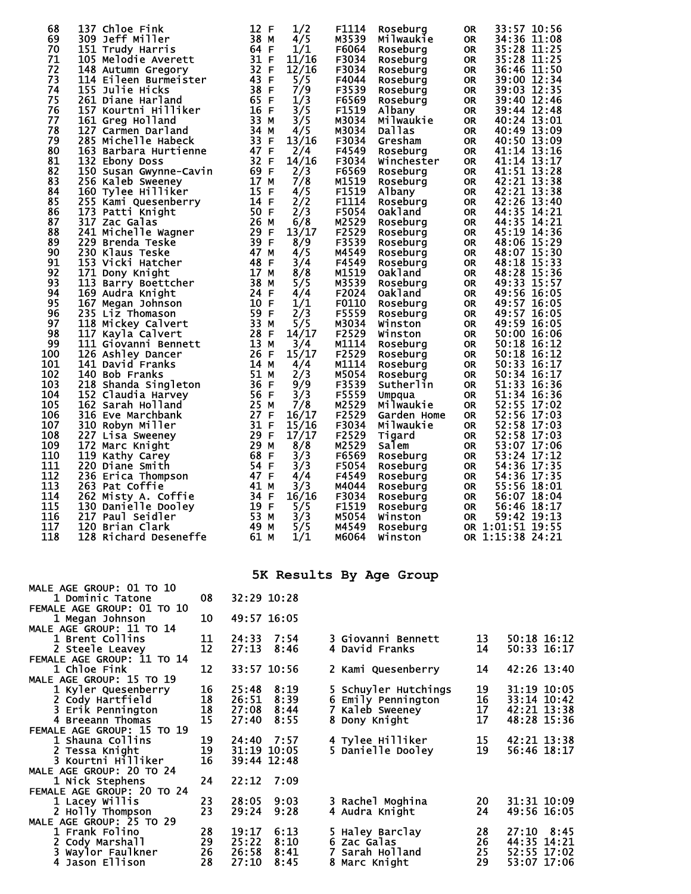| 69<br>309 Jeff Miller<br>38<br>4/5<br>M3539<br>34:36 11:08<br>Milwaukie<br><b>OR</b><br>м<br>70<br>64 F<br>1/1<br>35:28 11:25<br>151 Trudy Harris<br>F6064<br>Roseburg<br><b>OR</b><br>31 F<br>71<br>11/16<br>F3034<br>35:28 11:25<br>105 Melodie Averett<br><b>OR</b><br>Roseburg<br>32 F<br>72<br>12/16<br>F3034<br>36:46 11:50<br>148 Autumn Gregory<br>Roseburg<br><b>OR</b><br>73<br>43 F<br>5/5<br>F4044<br>39:00 12:34<br>114 Eileen Burmeister<br><b>OR</b><br>Roseburg<br>74<br>38 F<br>7/9<br>F3539<br>155 Julie Hicks<br>39:03 12:35<br><b>OR</b><br>Roseburg<br>75<br>65 F<br>1/3<br>F6569<br>39:40 12:46<br>261 Diane Harland<br><b>OR</b><br>Roseburg<br>16F<br>3/5<br>F1519<br>76<br>157 Kourtni Hilliker<br>Albany<br><b>OR</b><br>39:44 12:48<br>33 M<br>77<br>3/5<br>M3034<br>Milwaukie<br>40:24 13:01<br>161 Greg Holland<br><b>OR</b><br>78<br>127 Carmen Darland<br>34 M<br>4/5<br>M3034<br>40:49 13:09<br>Dallas<br><b>OR</b><br>33 F<br>79<br>F3034<br>40:50 13:09<br>285 Michelle Habeck<br>13/16<br>Gresham<br><b>OR</b><br>80<br>163 Barbara Hurtienne<br>47 F<br>F4549<br>41:14 13:16<br>2/4<br><b>OR</b><br>Roseburg<br>32 F<br>81<br>41:14 13:17<br>14/16<br>F3034<br>132 Ebony Doss<br>Winchester<br>OR<br>82<br>69 F<br>41:51 13:28<br>150 Susan Gwynne-Cavin<br>2/3<br>F6569<br><b>OR</b><br>Roseburg<br>7/8<br>42:21 13:38<br>83<br>17 M<br>M1519<br>256 Kaleb Sweeney<br><b>OR</b><br>Roseburg<br>F1519<br>84<br>15 F<br>42:21 13:38<br>160 Tylee Hilliker<br>4/5<br><b>OR</b><br>Albany<br>2/2<br>85<br>F1114<br>255 Kami Quesenberry<br>14 F<br>42:26 13:40<br><b>OR</b><br>Roseburg<br>86<br>50 F<br>2/3<br>F5054<br>173 Patti Knight<br><b>OR</b><br>44:35 14:21<br>Oakland<br>44:35 14:21<br>87<br>26 M<br>M2529<br>317 Zac Galas<br>6/8<br><b>OR</b><br>Roseburg<br>88<br>29 F<br>F2529<br>13/17<br>45:19 14:36<br>241 Michelle Wagner<br>Roseburg<br><b>OR</b><br>89<br>39 F<br>8/9<br>F3539<br>229 Brenda Teske<br>48:06 15:29<br>Roseburg<br>OR<br>90<br>47 M<br>4/5<br>M4549<br>230 Klaus Teske<br>48:07 15:30<br>Roseburg<br><b>OR</b><br>91<br>153 Vicki Hatcher<br>48 F<br>3/4<br>F4549<br>48:18 15:33<br><b>OR</b><br>Roseburg<br>92<br>17 M<br>8/8<br>M1519<br>48:28 15:36<br>171 Dony Knight<br><b>OR</b><br>Oakland<br>93<br>38<br>5/5<br>M3539<br>49:33 15:57<br>113 Barry Boettcher<br><b>OR</b><br>M<br>Roseburg<br>94<br>169 Audra Knight<br>24 F<br>4/4<br>F2024<br>49:56 16:05<br>Oakland<br><b>OR</b><br>95<br>10 F<br>F0110<br>49:57 16:05<br>167 Megan Johnson<br>1/1<br><b>OR</b><br>Roseburg<br>96<br>59 F<br>2/3<br>49:57 16:05<br>235 Liz Thomason<br>F5559<br>Roseburg<br><b>OR</b><br>97<br>33 M<br>49:59 16:05<br>5/5<br>M3034<br>118 Mickey Calvert<br><b>OR</b><br>Winston<br>98<br>28 F<br>14/17<br>F2529<br>50:00 16:06<br>117 Kayla Calvert<br>Winston<br><b>OR</b><br>99<br>13 M<br>M1114<br>50:18 16:12<br>111 Giovanni Bennett<br>3/4<br><b>OR</b><br>Roseburg<br>100<br>26 F<br>15/17<br>F2529<br>50:18 16:12<br>126 Ashley Dancer<br><b>OR</b><br>Roseburg<br>101<br>14 M<br>M1114<br>4/4<br><b>OR</b><br>50:33 16:17<br>141 David Franks<br>Roseburg<br>102<br>51<br>2/3<br>M5054<br>50:34 16:17<br>140 Bob Franks<br><b>OR</b><br>м<br>Roseburg<br>$\overline{36}$<br>F3539<br>51:33<br>103<br>9/9<br>218 Shanda Singleton<br>-F<br>Sutherlin<br><b>OR</b><br>16:36<br>F5559<br>51:34 16:36<br>104<br>56 F<br>3/3<br>152 Claudia Harvey<br><b>OR</b><br>Umpqua<br>7/8<br>25<br>M2529<br>52:55 17:02<br>105<br>162 Sarah Holland<br>M<br>Milwaukie<br><b>OR</b><br>52:56 17:03<br>106<br>27 F<br>16/17<br>F2529<br>316 Eve Marchbank<br><b>OR</b><br>Garden Home<br>31 F<br>52:58 17:03<br>107<br>310 Robyn Miller<br>15/16<br>F3034<br><b>OR</b><br>Milwaukie<br>108<br>29 F<br>17/17<br>F2529<br>52:58 17:03<br>227 Lisa Sweeney<br><b>OR</b><br>Tigard<br>109<br>29<br>172 Marc Knight<br>8/8<br>M2529<br>53:07 17:06<br>M<br>Salem<br><b>OR</b><br>110<br>68<br>53:24 17:12<br>119 Kathy Carey<br>-F<br>3/3<br>F6569<br><b>OR</b><br>Roseburg<br>111<br>54 F<br>54:36 17:35<br>220 Diane Smith<br>3/3<br>F5054<br><b>OR</b><br>Roseburg<br>112<br>47 F<br>236 Erica Thompson<br>4/4<br>F4549<br>54:36 17:35<br>Roseburg<br><b>OR</b><br>113<br>41 M<br>3/3<br>55:56 18:01<br>263 Pat Coffie<br>M4044<br>Roseburg<br>OR<br>114<br>34 F<br>16/16<br>F3034<br>262 Misty A. Coffie<br>56:07 18:04<br><b>OR</b><br>Roseburg<br>115<br>19 F<br>5/5<br>F1519<br>56:46 18:17<br>130 Danielle Dooley<br><b>OR</b><br>Roseburg<br>53 M<br>116<br>3/3<br>M5054<br>59:42 19:13<br>217 Paul Seidler<br><b>OR</b><br>Winston<br>117<br>49<br>5/5<br>OR 1:01:51 19:55<br>120 Brian Clark<br>M4549<br>Roseburg<br>M<br>118<br>128 Richard Deseneffe<br>61<br>1/1<br>OR 1:15:38 24:21<br>M6064<br>Winston<br>M | 68 | 137 Chloe Fink | 12<br>1/2<br>-F | F1114 | Roseburg | <b>OR</b> | 33:57 10:56 |
|---------------------------------------------------------------------------------------------------------------------------------------------------------------------------------------------------------------------------------------------------------------------------------------------------------------------------------------------------------------------------------------------------------------------------------------------------------------------------------------------------------------------------------------------------------------------------------------------------------------------------------------------------------------------------------------------------------------------------------------------------------------------------------------------------------------------------------------------------------------------------------------------------------------------------------------------------------------------------------------------------------------------------------------------------------------------------------------------------------------------------------------------------------------------------------------------------------------------------------------------------------------------------------------------------------------------------------------------------------------------------------------------------------------------------------------------------------------------------------------------------------------------------------------------------------------------------------------------------------------------------------------------------------------------------------------------------------------------------------------------------------------------------------------------------------------------------------------------------------------------------------------------------------------------------------------------------------------------------------------------------------------------------------------------------------------------------------------------------------------------------------------------------------------------------------------------------------------------------------------------------------------------------------------------------------------------------------------------------------------------------------------------------------------------------------------------------------------------------------------------------------------------------------------------------------------------------------------------------------------------------------------------------------------------------------------------------------------------------------------------------------------------------------------------------------------------------------------------------------------------------------------------------------------------------------------------------------------------------------------------------------------------------------------------------------------------------------------------------------------------------------------------------------------------------------------------------------------------------------------------------------------------------------------------------------------------------------------------------------------------------------------------------------------------------------------------------------------------------------------------------------------------------------------------------------------------------------------------------------------------------------------------------------------------------------------------------------------------------------------------------------------------------------------------------------------------------------------------------------------------------------------------------------------------------------------------------------------------------------------------------------------------------------------------------------------------------------------------------------------------------------------------------------------------------------------------------------------------------------------------------------------------------------------------------------------------------------------------------------------------------------------------------------------------------------------------------------------------------------------------------------------------------------------------------------------------------------------------------------------------------------------------------------------------------------------------------------------------------------------------------------------------------------|----|----------------|-----------------|-------|----------|-----------|-------------|
|                                                                                                                                                                                                                                                                                                                                                                                                                                                                                                                                                                                                                                                                                                                                                                                                                                                                                                                                                                                                                                                                                                                                                                                                                                                                                                                                                                                                                                                                                                                                                                                                                                                                                                                                                                                                                                                                                                                                                                                                                                                                                                                                                                                                                                                                                                                                                                                                                                                                                                                                                                                                                                                                                                                                                                                                                                                                                                                                                                                                                                                                                                                                                                                                                                                                                                                                                                                                                                                                                                                                                                                                                                                                                                                                                                                                                                                                                                                                                                                                                                                                                                                                                                                                                                                                                                                                                                                                                                                                                                                                                                                                                                                                                                                                                                                 |    |                |                 |       |          |           |             |
|                                                                                                                                                                                                                                                                                                                                                                                                                                                                                                                                                                                                                                                                                                                                                                                                                                                                                                                                                                                                                                                                                                                                                                                                                                                                                                                                                                                                                                                                                                                                                                                                                                                                                                                                                                                                                                                                                                                                                                                                                                                                                                                                                                                                                                                                                                                                                                                                                                                                                                                                                                                                                                                                                                                                                                                                                                                                                                                                                                                                                                                                                                                                                                                                                                                                                                                                                                                                                                                                                                                                                                                                                                                                                                                                                                                                                                                                                                                                                                                                                                                                                                                                                                                                                                                                                                                                                                                                                                                                                                                                                                                                                                                                                                                                                                                 |    |                |                 |       |          |           |             |
|                                                                                                                                                                                                                                                                                                                                                                                                                                                                                                                                                                                                                                                                                                                                                                                                                                                                                                                                                                                                                                                                                                                                                                                                                                                                                                                                                                                                                                                                                                                                                                                                                                                                                                                                                                                                                                                                                                                                                                                                                                                                                                                                                                                                                                                                                                                                                                                                                                                                                                                                                                                                                                                                                                                                                                                                                                                                                                                                                                                                                                                                                                                                                                                                                                                                                                                                                                                                                                                                                                                                                                                                                                                                                                                                                                                                                                                                                                                                                                                                                                                                                                                                                                                                                                                                                                                                                                                                                                                                                                                                                                                                                                                                                                                                                                                 |    |                |                 |       |          |           |             |
|                                                                                                                                                                                                                                                                                                                                                                                                                                                                                                                                                                                                                                                                                                                                                                                                                                                                                                                                                                                                                                                                                                                                                                                                                                                                                                                                                                                                                                                                                                                                                                                                                                                                                                                                                                                                                                                                                                                                                                                                                                                                                                                                                                                                                                                                                                                                                                                                                                                                                                                                                                                                                                                                                                                                                                                                                                                                                                                                                                                                                                                                                                                                                                                                                                                                                                                                                                                                                                                                                                                                                                                                                                                                                                                                                                                                                                                                                                                                                                                                                                                                                                                                                                                                                                                                                                                                                                                                                                                                                                                                                                                                                                                                                                                                                                                 |    |                |                 |       |          |           |             |
|                                                                                                                                                                                                                                                                                                                                                                                                                                                                                                                                                                                                                                                                                                                                                                                                                                                                                                                                                                                                                                                                                                                                                                                                                                                                                                                                                                                                                                                                                                                                                                                                                                                                                                                                                                                                                                                                                                                                                                                                                                                                                                                                                                                                                                                                                                                                                                                                                                                                                                                                                                                                                                                                                                                                                                                                                                                                                                                                                                                                                                                                                                                                                                                                                                                                                                                                                                                                                                                                                                                                                                                                                                                                                                                                                                                                                                                                                                                                                                                                                                                                                                                                                                                                                                                                                                                                                                                                                                                                                                                                                                                                                                                                                                                                                                                 |    |                |                 |       |          |           |             |
|                                                                                                                                                                                                                                                                                                                                                                                                                                                                                                                                                                                                                                                                                                                                                                                                                                                                                                                                                                                                                                                                                                                                                                                                                                                                                                                                                                                                                                                                                                                                                                                                                                                                                                                                                                                                                                                                                                                                                                                                                                                                                                                                                                                                                                                                                                                                                                                                                                                                                                                                                                                                                                                                                                                                                                                                                                                                                                                                                                                                                                                                                                                                                                                                                                                                                                                                                                                                                                                                                                                                                                                                                                                                                                                                                                                                                                                                                                                                                                                                                                                                                                                                                                                                                                                                                                                                                                                                                                                                                                                                                                                                                                                                                                                                                                                 |    |                |                 |       |          |           |             |
|                                                                                                                                                                                                                                                                                                                                                                                                                                                                                                                                                                                                                                                                                                                                                                                                                                                                                                                                                                                                                                                                                                                                                                                                                                                                                                                                                                                                                                                                                                                                                                                                                                                                                                                                                                                                                                                                                                                                                                                                                                                                                                                                                                                                                                                                                                                                                                                                                                                                                                                                                                                                                                                                                                                                                                                                                                                                                                                                                                                                                                                                                                                                                                                                                                                                                                                                                                                                                                                                                                                                                                                                                                                                                                                                                                                                                                                                                                                                                                                                                                                                                                                                                                                                                                                                                                                                                                                                                                                                                                                                                                                                                                                                                                                                                                                 |    |                |                 |       |          |           |             |
|                                                                                                                                                                                                                                                                                                                                                                                                                                                                                                                                                                                                                                                                                                                                                                                                                                                                                                                                                                                                                                                                                                                                                                                                                                                                                                                                                                                                                                                                                                                                                                                                                                                                                                                                                                                                                                                                                                                                                                                                                                                                                                                                                                                                                                                                                                                                                                                                                                                                                                                                                                                                                                                                                                                                                                                                                                                                                                                                                                                                                                                                                                                                                                                                                                                                                                                                                                                                                                                                                                                                                                                                                                                                                                                                                                                                                                                                                                                                                                                                                                                                                                                                                                                                                                                                                                                                                                                                                                                                                                                                                                                                                                                                                                                                                                                 |    |                |                 |       |          |           |             |
|                                                                                                                                                                                                                                                                                                                                                                                                                                                                                                                                                                                                                                                                                                                                                                                                                                                                                                                                                                                                                                                                                                                                                                                                                                                                                                                                                                                                                                                                                                                                                                                                                                                                                                                                                                                                                                                                                                                                                                                                                                                                                                                                                                                                                                                                                                                                                                                                                                                                                                                                                                                                                                                                                                                                                                                                                                                                                                                                                                                                                                                                                                                                                                                                                                                                                                                                                                                                                                                                                                                                                                                                                                                                                                                                                                                                                                                                                                                                                                                                                                                                                                                                                                                                                                                                                                                                                                                                                                                                                                                                                                                                                                                                                                                                                                                 |    |                |                 |       |          |           |             |
|                                                                                                                                                                                                                                                                                                                                                                                                                                                                                                                                                                                                                                                                                                                                                                                                                                                                                                                                                                                                                                                                                                                                                                                                                                                                                                                                                                                                                                                                                                                                                                                                                                                                                                                                                                                                                                                                                                                                                                                                                                                                                                                                                                                                                                                                                                                                                                                                                                                                                                                                                                                                                                                                                                                                                                                                                                                                                                                                                                                                                                                                                                                                                                                                                                                                                                                                                                                                                                                                                                                                                                                                                                                                                                                                                                                                                                                                                                                                                                                                                                                                                                                                                                                                                                                                                                                                                                                                                                                                                                                                                                                                                                                                                                                                                                                 |    |                |                 |       |          |           |             |
|                                                                                                                                                                                                                                                                                                                                                                                                                                                                                                                                                                                                                                                                                                                                                                                                                                                                                                                                                                                                                                                                                                                                                                                                                                                                                                                                                                                                                                                                                                                                                                                                                                                                                                                                                                                                                                                                                                                                                                                                                                                                                                                                                                                                                                                                                                                                                                                                                                                                                                                                                                                                                                                                                                                                                                                                                                                                                                                                                                                                                                                                                                                                                                                                                                                                                                                                                                                                                                                                                                                                                                                                                                                                                                                                                                                                                                                                                                                                                                                                                                                                                                                                                                                                                                                                                                                                                                                                                                                                                                                                                                                                                                                                                                                                                                                 |    |                |                 |       |          |           |             |
|                                                                                                                                                                                                                                                                                                                                                                                                                                                                                                                                                                                                                                                                                                                                                                                                                                                                                                                                                                                                                                                                                                                                                                                                                                                                                                                                                                                                                                                                                                                                                                                                                                                                                                                                                                                                                                                                                                                                                                                                                                                                                                                                                                                                                                                                                                                                                                                                                                                                                                                                                                                                                                                                                                                                                                                                                                                                                                                                                                                                                                                                                                                                                                                                                                                                                                                                                                                                                                                                                                                                                                                                                                                                                                                                                                                                                                                                                                                                                                                                                                                                                                                                                                                                                                                                                                                                                                                                                                                                                                                                                                                                                                                                                                                                                                                 |    |                |                 |       |          |           |             |
|                                                                                                                                                                                                                                                                                                                                                                                                                                                                                                                                                                                                                                                                                                                                                                                                                                                                                                                                                                                                                                                                                                                                                                                                                                                                                                                                                                                                                                                                                                                                                                                                                                                                                                                                                                                                                                                                                                                                                                                                                                                                                                                                                                                                                                                                                                                                                                                                                                                                                                                                                                                                                                                                                                                                                                                                                                                                                                                                                                                                                                                                                                                                                                                                                                                                                                                                                                                                                                                                                                                                                                                                                                                                                                                                                                                                                                                                                                                                                                                                                                                                                                                                                                                                                                                                                                                                                                                                                                                                                                                                                                                                                                                                                                                                                                                 |    |                |                 |       |          |           |             |
|                                                                                                                                                                                                                                                                                                                                                                                                                                                                                                                                                                                                                                                                                                                                                                                                                                                                                                                                                                                                                                                                                                                                                                                                                                                                                                                                                                                                                                                                                                                                                                                                                                                                                                                                                                                                                                                                                                                                                                                                                                                                                                                                                                                                                                                                                                                                                                                                                                                                                                                                                                                                                                                                                                                                                                                                                                                                                                                                                                                                                                                                                                                                                                                                                                                                                                                                                                                                                                                                                                                                                                                                                                                                                                                                                                                                                                                                                                                                                                                                                                                                                                                                                                                                                                                                                                                                                                                                                                                                                                                                                                                                                                                                                                                                                                                 |    |                |                 |       |          |           |             |
|                                                                                                                                                                                                                                                                                                                                                                                                                                                                                                                                                                                                                                                                                                                                                                                                                                                                                                                                                                                                                                                                                                                                                                                                                                                                                                                                                                                                                                                                                                                                                                                                                                                                                                                                                                                                                                                                                                                                                                                                                                                                                                                                                                                                                                                                                                                                                                                                                                                                                                                                                                                                                                                                                                                                                                                                                                                                                                                                                                                                                                                                                                                                                                                                                                                                                                                                                                                                                                                                                                                                                                                                                                                                                                                                                                                                                                                                                                                                                                                                                                                                                                                                                                                                                                                                                                                                                                                                                                                                                                                                                                                                                                                                                                                                                                                 |    |                |                 |       |          |           |             |
|                                                                                                                                                                                                                                                                                                                                                                                                                                                                                                                                                                                                                                                                                                                                                                                                                                                                                                                                                                                                                                                                                                                                                                                                                                                                                                                                                                                                                                                                                                                                                                                                                                                                                                                                                                                                                                                                                                                                                                                                                                                                                                                                                                                                                                                                                                                                                                                                                                                                                                                                                                                                                                                                                                                                                                                                                                                                                                                                                                                                                                                                                                                                                                                                                                                                                                                                                                                                                                                                                                                                                                                                                                                                                                                                                                                                                                                                                                                                                                                                                                                                                                                                                                                                                                                                                                                                                                                                                                                                                                                                                                                                                                                                                                                                                                                 |    |                |                 |       |          |           |             |
|                                                                                                                                                                                                                                                                                                                                                                                                                                                                                                                                                                                                                                                                                                                                                                                                                                                                                                                                                                                                                                                                                                                                                                                                                                                                                                                                                                                                                                                                                                                                                                                                                                                                                                                                                                                                                                                                                                                                                                                                                                                                                                                                                                                                                                                                                                                                                                                                                                                                                                                                                                                                                                                                                                                                                                                                                                                                                                                                                                                                                                                                                                                                                                                                                                                                                                                                                                                                                                                                                                                                                                                                                                                                                                                                                                                                                                                                                                                                                                                                                                                                                                                                                                                                                                                                                                                                                                                                                                                                                                                                                                                                                                                                                                                                                                                 |    |                |                 |       |          |           |             |
|                                                                                                                                                                                                                                                                                                                                                                                                                                                                                                                                                                                                                                                                                                                                                                                                                                                                                                                                                                                                                                                                                                                                                                                                                                                                                                                                                                                                                                                                                                                                                                                                                                                                                                                                                                                                                                                                                                                                                                                                                                                                                                                                                                                                                                                                                                                                                                                                                                                                                                                                                                                                                                                                                                                                                                                                                                                                                                                                                                                                                                                                                                                                                                                                                                                                                                                                                                                                                                                                                                                                                                                                                                                                                                                                                                                                                                                                                                                                                                                                                                                                                                                                                                                                                                                                                                                                                                                                                                                                                                                                                                                                                                                                                                                                                                                 |    |                |                 |       |          |           |             |
|                                                                                                                                                                                                                                                                                                                                                                                                                                                                                                                                                                                                                                                                                                                                                                                                                                                                                                                                                                                                                                                                                                                                                                                                                                                                                                                                                                                                                                                                                                                                                                                                                                                                                                                                                                                                                                                                                                                                                                                                                                                                                                                                                                                                                                                                                                                                                                                                                                                                                                                                                                                                                                                                                                                                                                                                                                                                                                                                                                                                                                                                                                                                                                                                                                                                                                                                                                                                                                                                                                                                                                                                                                                                                                                                                                                                                                                                                                                                                                                                                                                                                                                                                                                                                                                                                                                                                                                                                                                                                                                                                                                                                                                                                                                                                                                 |    |                |                 |       |          |           |             |
|                                                                                                                                                                                                                                                                                                                                                                                                                                                                                                                                                                                                                                                                                                                                                                                                                                                                                                                                                                                                                                                                                                                                                                                                                                                                                                                                                                                                                                                                                                                                                                                                                                                                                                                                                                                                                                                                                                                                                                                                                                                                                                                                                                                                                                                                                                                                                                                                                                                                                                                                                                                                                                                                                                                                                                                                                                                                                                                                                                                                                                                                                                                                                                                                                                                                                                                                                                                                                                                                                                                                                                                                                                                                                                                                                                                                                                                                                                                                                                                                                                                                                                                                                                                                                                                                                                                                                                                                                                                                                                                                                                                                                                                                                                                                                                                 |    |                |                 |       |          |           |             |
|                                                                                                                                                                                                                                                                                                                                                                                                                                                                                                                                                                                                                                                                                                                                                                                                                                                                                                                                                                                                                                                                                                                                                                                                                                                                                                                                                                                                                                                                                                                                                                                                                                                                                                                                                                                                                                                                                                                                                                                                                                                                                                                                                                                                                                                                                                                                                                                                                                                                                                                                                                                                                                                                                                                                                                                                                                                                                                                                                                                                                                                                                                                                                                                                                                                                                                                                                                                                                                                                                                                                                                                                                                                                                                                                                                                                                                                                                                                                                                                                                                                                                                                                                                                                                                                                                                                                                                                                                                                                                                                                                                                                                                                                                                                                                                                 |    |                |                 |       |          |           |             |
|                                                                                                                                                                                                                                                                                                                                                                                                                                                                                                                                                                                                                                                                                                                                                                                                                                                                                                                                                                                                                                                                                                                                                                                                                                                                                                                                                                                                                                                                                                                                                                                                                                                                                                                                                                                                                                                                                                                                                                                                                                                                                                                                                                                                                                                                                                                                                                                                                                                                                                                                                                                                                                                                                                                                                                                                                                                                                                                                                                                                                                                                                                                                                                                                                                                                                                                                                                                                                                                                                                                                                                                                                                                                                                                                                                                                                                                                                                                                                                                                                                                                                                                                                                                                                                                                                                                                                                                                                                                                                                                                                                                                                                                                                                                                                                                 |    |                |                 |       |          |           |             |
|                                                                                                                                                                                                                                                                                                                                                                                                                                                                                                                                                                                                                                                                                                                                                                                                                                                                                                                                                                                                                                                                                                                                                                                                                                                                                                                                                                                                                                                                                                                                                                                                                                                                                                                                                                                                                                                                                                                                                                                                                                                                                                                                                                                                                                                                                                                                                                                                                                                                                                                                                                                                                                                                                                                                                                                                                                                                                                                                                                                                                                                                                                                                                                                                                                                                                                                                                                                                                                                                                                                                                                                                                                                                                                                                                                                                                                                                                                                                                                                                                                                                                                                                                                                                                                                                                                                                                                                                                                                                                                                                                                                                                                                                                                                                                                                 |    |                |                 |       |          |           |             |
|                                                                                                                                                                                                                                                                                                                                                                                                                                                                                                                                                                                                                                                                                                                                                                                                                                                                                                                                                                                                                                                                                                                                                                                                                                                                                                                                                                                                                                                                                                                                                                                                                                                                                                                                                                                                                                                                                                                                                                                                                                                                                                                                                                                                                                                                                                                                                                                                                                                                                                                                                                                                                                                                                                                                                                                                                                                                                                                                                                                                                                                                                                                                                                                                                                                                                                                                                                                                                                                                                                                                                                                                                                                                                                                                                                                                                                                                                                                                                                                                                                                                                                                                                                                                                                                                                                                                                                                                                                                                                                                                                                                                                                                                                                                                                                                 |    |                |                 |       |          |           |             |
|                                                                                                                                                                                                                                                                                                                                                                                                                                                                                                                                                                                                                                                                                                                                                                                                                                                                                                                                                                                                                                                                                                                                                                                                                                                                                                                                                                                                                                                                                                                                                                                                                                                                                                                                                                                                                                                                                                                                                                                                                                                                                                                                                                                                                                                                                                                                                                                                                                                                                                                                                                                                                                                                                                                                                                                                                                                                                                                                                                                                                                                                                                                                                                                                                                                                                                                                                                                                                                                                                                                                                                                                                                                                                                                                                                                                                                                                                                                                                                                                                                                                                                                                                                                                                                                                                                                                                                                                                                                                                                                                                                                                                                                                                                                                                                                 |    |                |                 |       |          |           |             |
|                                                                                                                                                                                                                                                                                                                                                                                                                                                                                                                                                                                                                                                                                                                                                                                                                                                                                                                                                                                                                                                                                                                                                                                                                                                                                                                                                                                                                                                                                                                                                                                                                                                                                                                                                                                                                                                                                                                                                                                                                                                                                                                                                                                                                                                                                                                                                                                                                                                                                                                                                                                                                                                                                                                                                                                                                                                                                                                                                                                                                                                                                                                                                                                                                                                                                                                                                                                                                                                                                                                                                                                                                                                                                                                                                                                                                                                                                                                                                                                                                                                                                                                                                                                                                                                                                                                                                                                                                                                                                                                                                                                                                                                                                                                                                                                 |    |                |                 |       |          |           |             |
|                                                                                                                                                                                                                                                                                                                                                                                                                                                                                                                                                                                                                                                                                                                                                                                                                                                                                                                                                                                                                                                                                                                                                                                                                                                                                                                                                                                                                                                                                                                                                                                                                                                                                                                                                                                                                                                                                                                                                                                                                                                                                                                                                                                                                                                                                                                                                                                                                                                                                                                                                                                                                                                                                                                                                                                                                                                                                                                                                                                                                                                                                                                                                                                                                                                                                                                                                                                                                                                                                                                                                                                                                                                                                                                                                                                                                                                                                                                                                                                                                                                                                                                                                                                                                                                                                                                                                                                                                                                                                                                                                                                                                                                                                                                                                                                 |    |                |                 |       |          |           |             |
|                                                                                                                                                                                                                                                                                                                                                                                                                                                                                                                                                                                                                                                                                                                                                                                                                                                                                                                                                                                                                                                                                                                                                                                                                                                                                                                                                                                                                                                                                                                                                                                                                                                                                                                                                                                                                                                                                                                                                                                                                                                                                                                                                                                                                                                                                                                                                                                                                                                                                                                                                                                                                                                                                                                                                                                                                                                                                                                                                                                                                                                                                                                                                                                                                                                                                                                                                                                                                                                                                                                                                                                                                                                                                                                                                                                                                                                                                                                                                                                                                                                                                                                                                                                                                                                                                                                                                                                                                                                                                                                                                                                                                                                                                                                                                                                 |    |                |                 |       |          |           |             |
|                                                                                                                                                                                                                                                                                                                                                                                                                                                                                                                                                                                                                                                                                                                                                                                                                                                                                                                                                                                                                                                                                                                                                                                                                                                                                                                                                                                                                                                                                                                                                                                                                                                                                                                                                                                                                                                                                                                                                                                                                                                                                                                                                                                                                                                                                                                                                                                                                                                                                                                                                                                                                                                                                                                                                                                                                                                                                                                                                                                                                                                                                                                                                                                                                                                                                                                                                                                                                                                                                                                                                                                                                                                                                                                                                                                                                                                                                                                                                                                                                                                                                                                                                                                                                                                                                                                                                                                                                                                                                                                                                                                                                                                                                                                                                                                 |    |                |                 |       |          |           |             |
|                                                                                                                                                                                                                                                                                                                                                                                                                                                                                                                                                                                                                                                                                                                                                                                                                                                                                                                                                                                                                                                                                                                                                                                                                                                                                                                                                                                                                                                                                                                                                                                                                                                                                                                                                                                                                                                                                                                                                                                                                                                                                                                                                                                                                                                                                                                                                                                                                                                                                                                                                                                                                                                                                                                                                                                                                                                                                                                                                                                                                                                                                                                                                                                                                                                                                                                                                                                                                                                                                                                                                                                                                                                                                                                                                                                                                                                                                                                                                                                                                                                                                                                                                                                                                                                                                                                                                                                                                                                                                                                                                                                                                                                                                                                                                                                 |    |                |                 |       |          |           |             |
|                                                                                                                                                                                                                                                                                                                                                                                                                                                                                                                                                                                                                                                                                                                                                                                                                                                                                                                                                                                                                                                                                                                                                                                                                                                                                                                                                                                                                                                                                                                                                                                                                                                                                                                                                                                                                                                                                                                                                                                                                                                                                                                                                                                                                                                                                                                                                                                                                                                                                                                                                                                                                                                                                                                                                                                                                                                                                                                                                                                                                                                                                                                                                                                                                                                                                                                                                                                                                                                                                                                                                                                                                                                                                                                                                                                                                                                                                                                                                                                                                                                                                                                                                                                                                                                                                                                                                                                                                                                                                                                                                                                                                                                                                                                                                                                 |    |                |                 |       |          |           |             |
|                                                                                                                                                                                                                                                                                                                                                                                                                                                                                                                                                                                                                                                                                                                                                                                                                                                                                                                                                                                                                                                                                                                                                                                                                                                                                                                                                                                                                                                                                                                                                                                                                                                                                                                                                                                                                                                                                                                                                                                                                                                                                                                                                                                                                                                                                                                                                                                                                                                                                                                                                                                                                                                                                                                                                                                                                                                                                                                                                                                                                                                                                                                                                                                                                                                                                                                                                                                                                                                                                                                                                                                                                                                                                                                                                                                                                                                                                                                                                                                                                                                                                                                                                                                                                                                                                                                                                                                                                                                                                                                                                                                                                                                                                                                                                                                 |    |                |                 |       |          |           |             |
|                                                                                                                                                                                                                                                                                                                                                                                                                                                                                                                                                                                                                                                                                                                                                                                                                                                                                                                                                                                                                                                                                                                                                                                                                                                                                                                                                                                                                                                                                                                                                                                                                                                                                                                                                                                                                                                                                                                                                                                                                                                                                                                                                                                                                                                                                                                                                                                                                                                                                                                                                                                                                                                                                                                                                                                                                                                                                                                                                                                                                                                                                                                                                                                                                                                                                                                                                                                                                                                                                                                                                                                                                                                                                                                                                                                                                                                                                                                                                                                                                                                                                                                                                                                                                                                                                                                                                                                                                                                                                                                                                                                                                                                                                                                                                                                 |    |                |                 |       |          |           |             |
|                                                                                                                                                                                                                                                                                                                                                                                                                                                                                                                                                                                                                                                                                                                                                                                                                                                                                                                                                                                                                                                                                                                                                                                                                                                                                                                                                                                                                                                                                                                                                                                                                                                                                                                                                                                                                                                                                                                                                                                                                                                                                                                                                                                                                                                                                                                                                                                                                                                                                                                                                                                                                                                                                                                                                                                                                                                                                                                                                                                                                                                                                                                                                                                                                                                                                                                                                                                                                                                                                                                                                                                                                                                                                                                                                                                                                                                                                                                                                                                                                                                                                                                                                                                                                                                                                                                                                                                                                                                                                                                                                                                                                                                                                                                                                                                 |    |                |                 |       |          |           |             |
|                                                                                                                                                                                                                                                                                                                                                                                                                                                                                                                                                                                                                                                                                                                                                                                                                                                                                                                                                                                                                                                                                                                                                                                                                                                                                                                                                                                                                                                                                                                                                                                                                                                                                                                                                                                                                                                                                                                                                                                                                                                                                                                                                                                                                                                                                                                                                                                                                                                                                                                                                                                                                                                                                                                                                                                                                                                                                                                                                                                                                                                                                                                                                                                                                                                                                                                                                                                                                                                                                                                                                                                                                                                                                                                                                                                                                                                                                                                                                                                                                                                                                                                                                                                                                                                                                                                                                                                                                                                                                                                                                                                                                                                                                                                                                                                 |    |                |                 |       |          |           |             |
|                                                                                                                                                                                                                                                                                                                                                                                                                                                                                                                                                                                                                                                                                                                                                                                                                                                                                                                                                                                                                                                                                                                                                                                                                                                                                                                                                                                                                                                                                                                                                                                                                                                                                                                                                                                                                                                                                                                                                                                                                                                                                                                                                                                                                                                                                                                                                                                                                                                                                                                                                                                                                                                                                                                                                                                                                                                                                                                                                                                                                                                                                                                                                                                                                                                                                                                                                                                                                                                                                                                                                                                                                                                                                                                                                                                                                                                                                                                                                                                                                                                                                                                                                                                                                                                                                                                                                                                                                                                                                                                                                                                                                                                                                                                                                                                 |    |                |                 |       |          |           |             |
|                                                                                                                                                                                                                                                                                                                                                                                                                                                                                                                                                                                                                                                                                                                                                                                                                                                                                                                                                                                                                                                                                                                                                                                                                                                                                                                                                                                                                                                                                                                                                                                                                                                                                                                                                                                                                                                                                                                                                                                                                                                                                                                                                                                                                                                                                                                                                                                                                                                                                                                                                                                                                                                                                                                                                                                                                                                                                                                                                                                                                                                                                                                                                                                                                                                                                                                                                                                                                                                                                                                                                                                                                                                                                                                                                                                                                                                                                                                                                                                                                                                                                                                                                                                                                                                                                                                                                                                                                                                                                                                                                                                                                                                                                                                                                                                 |    |                |                 |       |          |           |             |
|                                                                                                                                                                                                                                                                                                                                                                                                                                                                                                                                                                                                                                                                                                                                                                                                                                                                                                                                                                                                                                                                                                                                                                                                                                                                                                                                                                                                                                                                                                                                                                                                                                                                                                                                                                                                                                                                                                                                                                                                                                                                                                                                                                                                                                                                                                                                                                                                                                                                                                                                                                                                                                                                                                                                                                                                                                                                                                                                                                                                                                                                                                                                                                                                                                                                                                                                                                                                                                                                                                                                                                                                                                                                                                                                                                                                                                                                                                                                                                                                                                                                                                                                                                                                                                                                                                                                                                                                                                                                                                                                                                                                                                                                                                                                                                                 |    |                |                 |       |          |           |             |
|                                                                                                                                                                                                                                                                                                                                                                                                                                                                                                                                                                                                                                                                                                                                                                                                                                                                                                                                                                                                                                                                                                                                                                                                                                                                                                                                                                                                                                                                                                                                                                                                                                                                                                                                                                                                                                                                                                                                                                                                                                                                                                                                                                                                                                                                                                                                                                                                                                                                                                                                                                                                                                                                                                                                                                                                                                                                                                                                                                                                                                                                                                                                                                                                                                                                                                                                                                                                                                                                                                                                                                                                                                                                                                                                                                                                                                                                                                                                                                                                                                                                                                                                                                                                                                                                                                                                                                                                                                                                                                                                                                                                                                                                                                                                                                                 |    |                |                 |       |          |           |             |
|                                                                                                                                                                                                                                                                                                                                                                                                                                                                                                                                                                                                                                                                                                                                                                                                                                                                                                                                                                                                                                                                                                                                                                                                                                                                                                                                                                                                                                                                                                                                                                                                                                                                                                                                                                                                                                                                                                                                                                                                                                                                                                                                                                                                                                                                                                                                                                                                                                                                                                                                                                                                                                                                                                                                                                                                                                                                                                                                                                                                                                                                                                                                                                                                                                                                                                                                                                                                                                                                                                                                                                                                                                                                                                                                                                                                                                                                                                                                                                                                                                                                                                                                                                                                                                                                                                                                                                                                                                                                                                                                                                                                                                                                                                                                                                                 |    |                |                 |       |          |           |             |
|                                                                                                                                                                                                                                                                                                                                                                                                                                                                                                                                                                                                                                                                                                                                                                                                                                                                                                                                                                                                                                                                                                                                                                                                                                                                                                                                                                                                                                                                                                                                                                                                                                                                                                                                                                                                                                                                                                                                                                                                                                                                                                                                                                                                                                                                                                                                                                                                                                                                                                                                                                                                                                                                                                                                                                                                                                                                                                                                                                                                                                                                                                                                                                                                                                                                                                                                                                                                                                                                                                                                                                                                                                                                                                                                                                                                                                                                                                                                                                                                                                                                                                                                                                                                                                                                                                                                                                                                                                                                                                                                                                                                                                                                                                                                                                                 |    |                |                 |       |          |           |             |
|                                                                                                                                                                                                                                                                                                                                                                                                                                                                                                                                                                                                                                                                                                                                                                                                                                                                                                                                                                                                                                                                                                                                                                                                                                                                                                                                                                                                                                                                                                                                                                                                                                                                                                                                                                                                                                                                                                                                                                                                                                                                                                                                                                                                                                                                                                                                                                                                                                                                                                                                                                                                                                                                                                                                                                                                                                                                                                                                                                                                                                                                                                                                                                                                                                                                                                                                                                                                                                                                                                                                                                                                                                                                                                                                                                                                                                                                                                                                                                                                                                                                                                                                                                                                                                                                                                                                                                                                                                                                                                                                                                                                                                                                                                                                                                                 |    |                |                 |       |          |           |             |
|                                                                                                                                                                                                                                                                                                                                                                                                                                                                                                                                                                                                                                                                                                                                                                                                                                                                                                                                                                                                                                                                                                                                                                                                                                                                                                                                                                                                                                                                                                                                                                                                                                                                                                                                                                                                                                                                                                                                                                                                                                                                                                                                                                                                                                                                                                                                                                                                                                                                                                                                                                                                                                                                                                                                                                                                                                                                                                                                                                                                                                                                                                                                                                                                                                                                                                                                                                                                                                                                                                                                                                                                                                                                                                                                                                                                                                                                                                                                                                                                                                                                                                                                                                                                                                                                                                                                                                                                                                                                                                                                                                                                                                                                                                                                                                                 |    |                |                 |       |          |           |             |
|                                                                                                                                                                                                                                                                                                                                                                                                                                                                                                                                                                                                                                                                                                                                                                                                                                                                                                                                                                                                                                                                                                                                                                                                                                                                                                                                                                                                                                                                                                                                                                                                                                                                                                                                                                                                                                                                                                                                                                                                                                                                                                                                                                                                                                                                                                                                                                                                                                                                                                                                                                                                                                                                                                                                                                                                                                                                                                                                                                                                                                                                                                                                                                                                                                                                                                                                                                                                                                                                                                                                                                                                                                                                                                                                                                                                                                                                                                                                                                                                                                                                                                                                                                                                                                                                                                                                                                                                                                                                                                                                                                                                                                                                                                                                                                                 |    |                |                 |       |          |           |             |
|                                                                                                                                                                                                                                                                                                                                                                                                                                                                                                                                                                                                                                                                                                                                                                                                                                                                                                                                                                                                                                                                                                                                                                                                                                                                                                                                                                                                                                                                                                                                                                                                                                                                                                                                                                                                                                                                                                                                                                                                                                                                                                                                                                                                                                                                                                                                                                                                                                                                                                                                                                                                                                                                                                                                                                                                                                                                                                                                                                                                                                                                                                                                                                                                                                                                                                                                                                                                                                                                                                                                                                                                                                                                                                                                                                                                                                                                                                                                                                                                                                                                                                                                                                                                                                                                                                                                                                                                                                                                                                                                                                                                                                                                                                                                                                                 |    |                |                 |       |          |           |             |
|                                                                                                                                                                                                                                                                                                                                                                                                                                                                                                                                                                                                                                                                                                                                                                                                                                                                                                                                                                                                                                                                                                                                                                                                                                                                                                                                                                                                                                                                                                                                                                                                                                                                                                                                                                                                                                                                                                                                                                                                                                                                                                                                                                                                                                                                                                                                                                                                                                                                                                                                                                                                                                                                                                                                                                                                                                                                                                                                                                                                                                                                                                                                                                                                                                                                                                                                                                                                                                                                                                                                                                                                                                                                                                                                                                                                                                                                                                                                                                                                                                                                                                                                                                                                                                                                                                                                                                                                                                                                                                                                                                                                                                                                                                                                                                                 |    |                |                 |       |          |           |             |
|                                                                                                                                                                                                                                                                                                                                                                                                                                                                                                                                                                                                                                                                                                                                                                                                                                                                                                                                                                                                                                                                                                                                                                                                                                                                                                                                                                                                                                                                                                                                                                                                                                                                                                                                                                                                                                                                                                                                                                                                                                                                                                                                                                                                                                                                                                                                                                                                                                                                                                                                                                                                                                                                                                                                                                                                                                                                                                                                                                                                                                                                                                                                                                                                                                                                                                                                                                                                                                                                                                                                                                                                                                                                                                                                                                                                                                                                                                                                                                                                                                                                                                                                                                                                                                                                                                                                                                                                                                                                                                                                                                                                                                                                                                                                                                                 |    |                |                 |       |          |           |             |
|                                                                                                                                                                                                                                                                                                                                                                                                                                                                                                                                                                                                                                                                                                                                                                                                                                                                                                                                                                                                                                                                                                                                                                                                                                                                                                                                                                                                                                                                                                                                                                                                                                                                                                                                                                                                                                                                                                                                                                                                                                                                                                                                                                                                                                                                                                                                                                                                                                                                                                                                                                                                                                                                                                                                                                                                                                                                                                                                                                                                                                                                                                                                                                                                                                                                                                                                                                                                                                                                                                                                                                                                                                                                                                                                                                                                                                                                                                                                                                                                                                                                                                                                                                                                                                                                                                                                                                                                                                                                                                                                                                                                                                                                                                                                                                                 |    |                |                 |       |          |           |             |
|                                                                                                                                                                                                                                                                                                                                                                                                                                                                                                                                                                                                                                                                                                                                                                                                                                                                                                                                                                                                                                                                                                                                                                                                                                                                                                                                                                                                                                                                                                                                                                                                                                                                                                                                                                                                                                                                                                                                                                                                                                                                                                                                                                                                                                                                                                                                                                                                                                                                                                                                                                                                                                                                                                                                                                                                                                                                                                                                                                                                                                                                                                                                                                                                                                                                                                                                                                                                                                                                                                                                                                                                                                                                                                                                                                                                                                                                                                                                                                                                                                                                                                                                                                                                                                                                                                                                                                                                                                                                                                                                                                                                                                                                                                                                                                                 |    |                |                 |       |          |           |             |
|                                                                                                                                                                                                                                                                                                                                                                                                                                                                                                                                                                                                                                                                                                                                                                                                                                                                                                                                                                                                                                                                                                                                                                                                                                                                                                                                                                                                                                                                                                                                                                                                                                                                                                                                                                                                                                                                                                                                                                                                                                                                                                                                                                                                                                                                                                                                                                                                                                                                                                                                                                                                                                                                                                                                                                                                                                                                                                                                                                                                                                                                                                                                                                                                                                                                                                                                                                                                                                                                                                                                                                                                                                                                                                                                                                                                                                                                                                                                                                                                                                                                                                                                                                                                                                                                                                                                                                                                                                                                                                                                                                                                                                                                                                                                                                                 |    |                |                 |       |          |           |             |
|                                                                                                                                                                                                                                                                                                                                                                                                                                                                                                                                                                                                                                                                                                                                                                                                                                                                                                                                                                                                                                                                                                                                                                                                                                                                                                                                                                                                                                                                                                                                                                                                                                                                                                                                                                                                                                                                                                                                                                                                                                                                                                                                                                                                                                                                                                                                                                                                                                                                                                                                                                                                                                                                                                                                                                                                                                                                                                                                                                                                                                                                                                                                                                                                                                                                                                                                                                                                                                                                                                                                                                                                                                                                                                                                                                                                                                                                                                                                                                                                                                                                                                                                                                                                                                                                                                                                                                                                                                                                                                                                                                                                                                                                                                                                                                                 |    |                |                 |       |          |           |             |
|                                                                                                                                                                                                                                                                                                                                                                                                                                                                                                                                                                                                                                                                                                                                                                                                                                                                                                                                                                                                                                                                                                                                                                                                                                                                                                                                                                                                                                                                                                                                                                                                                                                                                                                                                                                                                                                                                                                                                                                                                                                                                                                                                                                                                                                                                                                                                                                                                                                                                                                                                                                                                                                                                                                                                                                                                                                                                                                                                                                                                                                                                                                                                                                                                                                                                                                                                                                                                                                                                                                                                                                                                                                                                                                                                                                                                                                                                                                                                                                                                                                                                                                                                                                                                                                                                                                                                                                                                                                                                                                                                                                                                                                                                                                                                                                 |    |                |                 |       |          |           |             |

## **5K Results By Age Group**

| MALE AGE GROUP: 01 TO 10   |    |             |                |                      |    |              |
|----------------------------|----|-------------|----------------|----------------------|----|--------------|
| 1 Dominic Tatone           | 08 |             | 32:29 10:28    |                      |    |              |
| FEMALE AGE GROUP: 01 TO 10 |    |             |                |                      |    |              |
| 1 Megan Johnson            | 10 | 49:57 16:05 |                |                      |    |              |
| MALE AGE GROUP: 11 TO 14   |    |             |                |                      |    |              |
| 1 Brent Collins            | 11 |             | 24:33 7:54     | 3 Giovanni Bennett   | 13 | 50:18 16:12  |
| 2 Steele Leavey            | 12 |             | $27:13$ $8:46$ | 4 David Franks       | 14 | 50:33 16:17  |
| FEMALE AGE GROUP: 11 TO 14 |    |             |                |                      |    |              |
| 1 Chloe Fink               | 12 |             | 33:57 10:56    | 2 Kami Quesenberry   | 14 | 42:26 13:40  |
| MALE AGE GROUP: 15 TO 19   |    |             |                |                      |    |              |
| 1 Kyler Quesenberry        | 16 | 25:48 8:19  |                | 5 Schuyler Hutchings | 19 | 31:19 10:05  |
| 2 Cody Hartfield           | 18 | 26:51 8:39  |                | 6 Emily Pennington   | 16 | 33:14 10:42  |
| 3 Erik Pennington          | 18 | 27:08 8:44  |                | 7 Kaleb Sweeney      | 17 | 42:21 13:38  |
| 4 Breeann Thomas           | 15 | 27:40       | 8:55           | 8 Dony Knight        | 17 | 48:28 15:36  |
| FEMALE AGE GROUP: 15 TO 19 |    |             |                |                      |    |              |
| 1 Shauna Collins           | 19 |             | 24:40 7:57     | 4 Tylee Hilliker     | 15 | 42:21 13:38  |
| 2 Tessa Knight             | 19 | 31:19 10:05 |                | 5 Danielle Dooley    | 19 | 56:46 18:17  |
| 3 Kourtni Hilliker         | 16 |             | 39:44 12:48    |                      |    |              |
| MALE AGE GROUP: 20 TO 24   |    |             |                |                      |    |              |
| 1 Nick Stephens            | 24 |             | $22:12$ 7:09   |                      |    |              |
| FEMALE AGE GROUP: 20 TO 24 |    |             |                |                      |    |              |
| 1 Lacey Willis             | 23 | 28:05       | 9:03           | 3 Rachel Moghina     | 20 | 31:31 10:09  |
| 2 Holly Thompson           | 23 | 29:24       | 9:28           | 4 Audra Knight       | 24 | 49:56 16:05  |
| MALE AGE GROUP: 25 TO 29   |    |             |                |                      |    |              |
| 1 Frank Folino             | 28 | 19:17       | 6:13           | 5 Haley Barclay      | 28 | $27:10$ 8:45 |
| 2 Cody Marshall            | 29 | 25:22       | 8:10           | 6 Zac Galas          | 26 | 44:35 14:21  |
| 3 Waylor Faulkner          | 26 | 26:58       | 8:41           | 7 Sarah Holland      | 25 | 52:55 17:02  |
| 4 Jason Ellison            | 28 | 27:10       | 8:45           | 8 Marc Knight        | 29 | 53:07 17:06  |
|                            |    |             |                |                      |    |              |